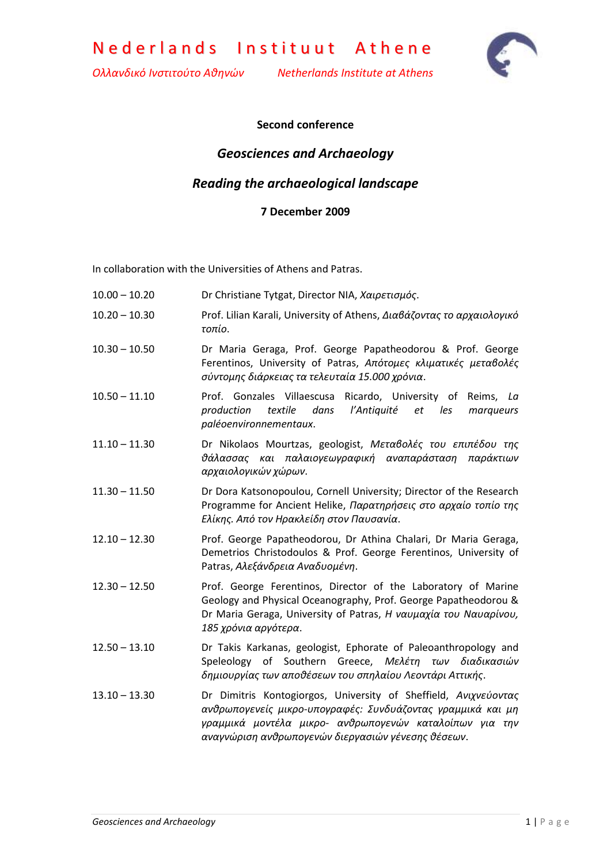Nederlands Instituut Athene

*Ολλανδικό Ινστιτούτο Αθηνών Netherlands Institute at Athens*



### **Second conference**

## *Geosciences and Archaeology*

## *Reading the archaeological landscape*

#### **7 December 2009**

In collaboration with the Universities of Athens and Patras.

- 10.00 10.20 Dr Christiane Tytgat, Director NIA, *Χαιρετισμός*.
- 10.20 10.30 Prof. Lilian Karali, University of Athens, *Διαβάζοντας το αρχαιολογικό τοπίο*.
- 10.30 10.50 Dr Maria Geraga, Prof. George Papatheodorou & Prof. George Ferentinos, University of Patras, *Απότομες κλιματικές μεταβολές σύντομης διάρκειας τα τελευταία 15.000 χρόνια*.
- 10.50 11.10 Prof. Gonzales Villaescusa Ricardo, University of Reims, *La production textile dans l'Antiquité et les marqueurs paléoenvironnementaux*.
- 11.10 11.30 Dr Nikolaos Mourtzas, geologist, *Μεταβολές του επιπέδου της θάλασσας και παλαιογεωγραφική αναπαράσταση παράκτιων αρχαιολογικών χώρων*.
- 11.30 11.50 Dr Dora Katsonopoulou, Cornell University; Director of the Research Programme for Ancient Helike, *Παρατηρήσεις στο αρχαίο τοπίο της Ελίκης. Από τον Ηρακλείδη στον Παυσανία*.
- 12.10 12.30 Prof. George Papatheodorou, Dr Athina Chalari, Dr Maria Geraga, Demetrios Christodoulos & Prof. George Ferentinos, University of Patras, *Αλεξάνδρεια Αναδυομένη*.
- 12.30 12.50 Prof. George Ferentinos, Director of the Laboratory of Marine Geology and Physical Oceanography, Prof. George Papatheodorou & Dr Maria Geraga, University of Patras, *Η ναυμαχία του Ναυαρίνου, 185 χρόνια αργότερα*.
- 12.50 13.10 Dr Takis Karkanas, geologist, Ephorate of Paleoanthropology and Speleology of Southern Greece, *Μελέτη των διαδικασιών δημιουργίας των αποθέσεων του σπηλαίου Λεοντάρι Αττικής*.
- 13.10 13.30 Dr Dimitris Kontogiorgos, University of Sheffield, *Ανιχνεύοντας ανθρωπογενείς μικρο-υπογραφές: Συνδυάζοντας γραμμικά και μη γραμμικά μοντέλα μικρο- ανθρωπογενών καταλοίπων για την αναγνώριση ανθρωπογενών διεργασιών γένεσης θέσεων*.